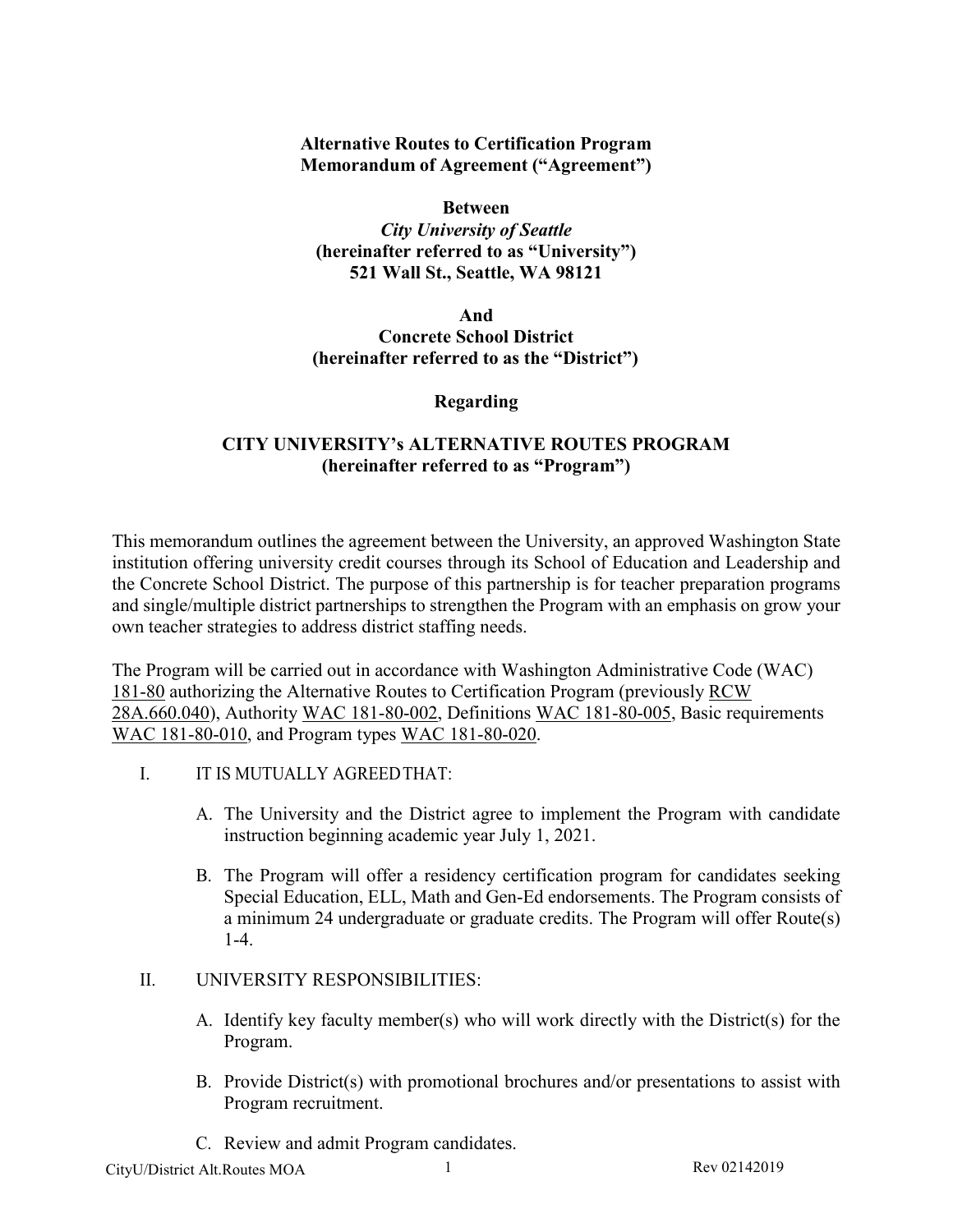**Alternative Routes to Certification Program Memorandum of Agreement ("Agreement")**

**Between** *City University of Seattle* **(hereinafter referred to as "University") 521 Wall St., Seattle, WA 98121** 

**And Concrete School District (hereinafter referred to as the "District")**

**Regarding**

## **CITY UNIVERSITY's ALTERNATIVE ROUTES PROGRAM (hereinafter referred to as "Program")**

This memorandum outlines the agreement between the University, an approved Washington State institution offering university credit courses through its School of Education and Leadership and the Concrete School District. The purpose of this partnership is for teacher preparation programs and single/multiple district partnerships to strengthen the Program with an emphasis on grow your own teacher strategies to address district staffing needs.

The Program will be carried out in accordance with Washington Administrative Code (WAC) 181-80 authorizing the Alternative Routes to Certification Program (previously [RCW](http://apps.leg.wa.gov/rcw/default.aspx?cite=28A.660.040) [28A.660.040\)](http://apps.leg.wa.gov/rcw/default.aspx?cite=28A.660.040), Authority WAC 181-80-002, Definitions WAC 181-80-005, Basic requirements WAC 181-80-010, and Program types WAC 181-80-020.

- I. IT IS MUTUALLY AGREED THAT:
	- A. The University and the District agree to implement the Program with candidate instruction beginning academic year July 1, 2021.
	- B. The Program will offer a residency certification program for candidates seeking Special Education, ELL, Math and Gen-Ed endorsements. The Program consists of a minimum 24 undergraduate or graduate credits. The Program will offer Route(s) 1-4.
- II. UNIVERSITY RESPONSIBILITIES:
	- A. Identify key faculty member(s) who will work directly with the District(s) for the Program.
	- B. Provide District(s) with promotional brochures and/or presentations to assist with Program recruitment.
	- C. Review and admit Program candidates.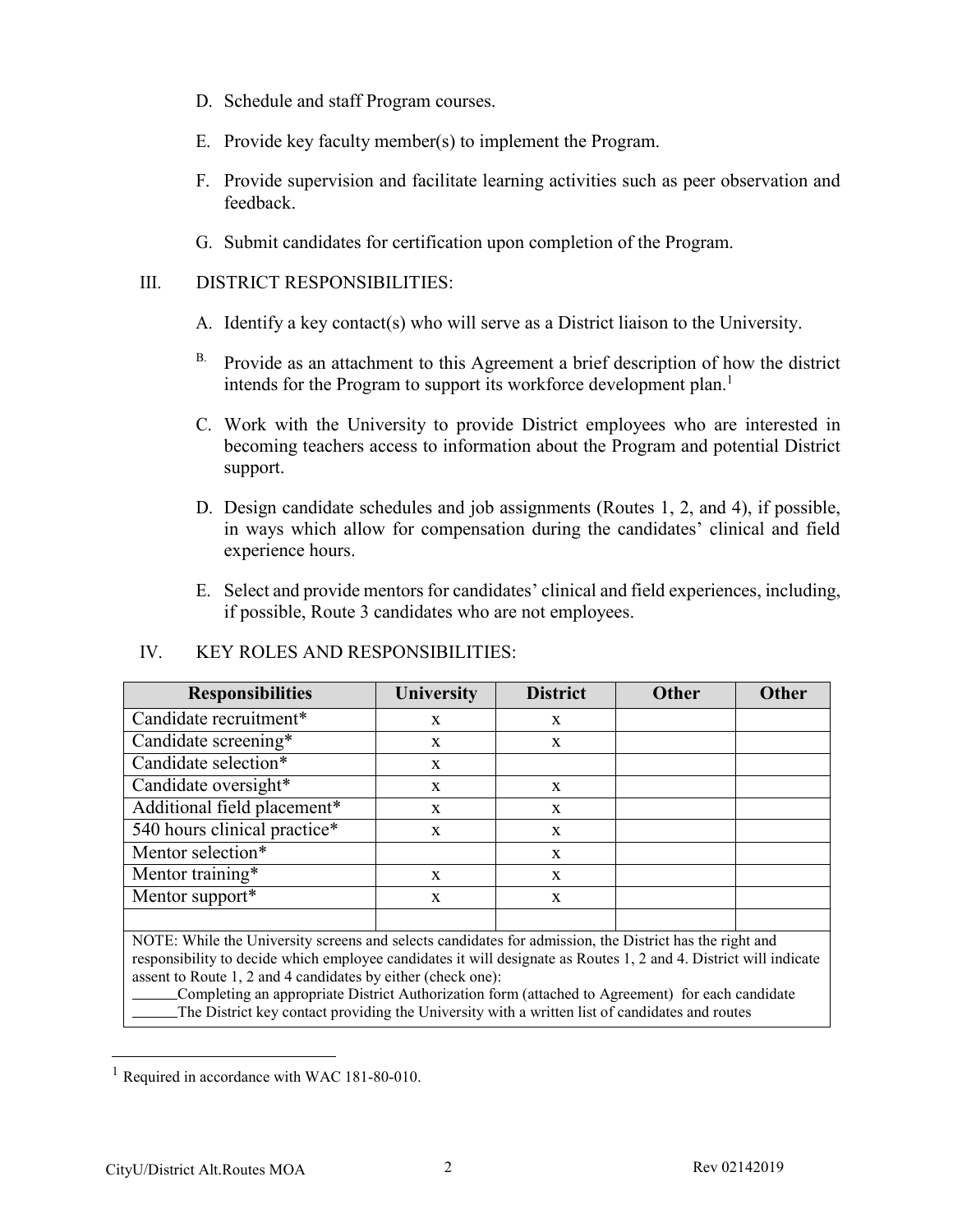- D. Schedule and staff Program courses.
- E. Provide key faculty member(s) to implement the Program.
- F. Provide supervision and facilitate learning activities such as peer observation and feedback.
- G. Submit candidates for certification upon completion of the Program.

## III. DISTRICT RESPONSIBILITIES:

- A. Identify a key contact(s) who will serve as a District liaison to the University.
- $B.$  Provide as an attachment to this Agreement a brief description of how the district intends for the Program to support its workforce development plan.<sup>1</sup>
- C. Work with the University to provide District employees who are interested in becoming teachers access to information about the Program and potential District support.
- D. Design candidate schedules and job assignments (Routes 1, 2, and 4), if possible, in ways which allow for compensation during the candidates' clinical and field experience hours.
- E. Select and provide mentors for candidates' clinical and field experiences, including, if possible, Route 3 candidates who are not employees.

| <b>Responsibilities</b>      | <b>University</b> | <b>District</b> | Other | Other |
|------------------------------|-------------------|-----------------|-------|-------|
| Candidate recruitment*       | $\mathbf x$       | $\mathbf{x}$    |       |       |
| Candidate screening*         | X                 | X               |       |       |
| Candidate selection*         | X                 |                 |       |       |
| Candidate oversight*         | X                 | X               |       |       |
| Additional field placement*  | $\mathbf x$       | $\mathbf{x}$    |       |       |
| 540 hours clinical practice* | X                 | $\mathbf{x}$    |       |       |
| Mentor selection*            |                   | $\mathbf{x}$    |       |       |
| Mentor training*             | $\mathbf x$       | $\mathbf{x}$    |       |       |
| Mentor support*              | X                 | X               |       |       |
|                              |                   |                 |       |       |

# IV. KEY ROLES AND RESPONSIBILITIES:

NOTE: While the University screens and selects candidates for admission, the District has the right and responsibility to decide which employee candidates it will designate as Routes 1, 2 and 4. District will indicate assent to Route 1, 2 and 4 candidates by either (check one):

Completing an appropriate District Authorization form (attached to Agreement) for each candidate The District key contact providing the University with a written list of candidates and routes

<sup>&</sup>lt;sup>1</sup> Required in accordance with WAC 181-80-010.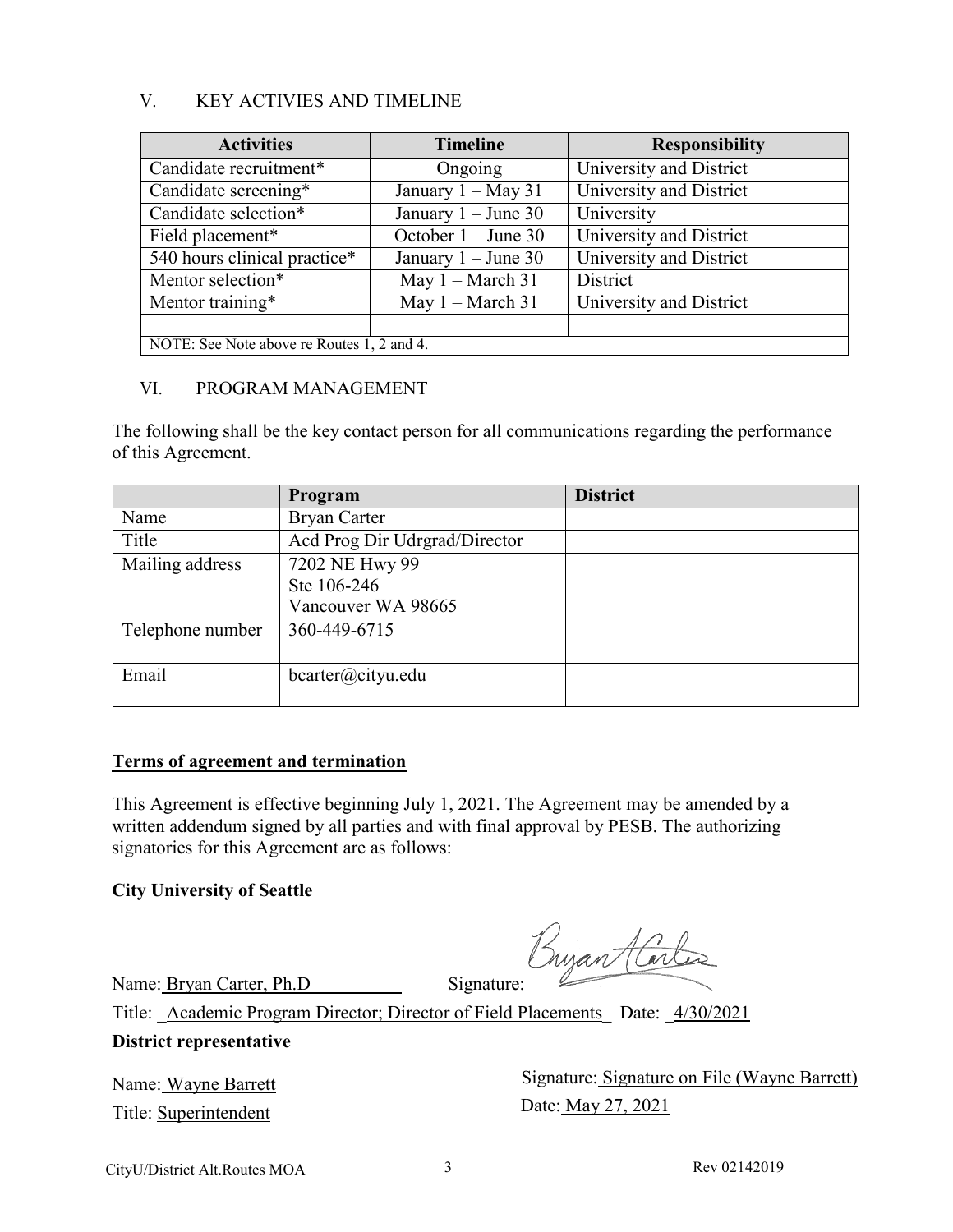## V. KEY ACTIVIES AND TIMELINE

| <b>Activities</b>                          | <b>Timeline</b>            | <b>Responsibility</b>   |  |  |
|--------------------------------------------|----------------------------|-------------------------|--|--|
| Candidate recruitment*                     | Ongoing                    | University and District |  |  |
| Candidate screening*                       | January $1 - May 31$       | University and District |  |  |
| Candidate selection*                       | January $1 -$ June 30      | University              |  |  |
| Field placement*                           | October $1 -$ June 30      | University and District |  |  |
| 540 hours clinical practice*               | January $1 -$ June 30      | University and District |  |  |
| Mentor selection*                          | May $1 - \text{March } 31$ | District                |  |  |
| Mentor training*                           | May $1 -$ March 31         | University and District |  |  |
|                                            |                            |                         |  |  |
| NOTE: See Note above re Routes 1, 2 and 4. |                            |                         |  |  |

## VI. PROGRAM MANAGEMENT

The following shall be the key contact person for all communications regarding the performance of this Agreement.

|                  | Program                       | <b>District</b> |
|------------------|-------------------------------|-----------------|
| Name             | <b>Bryan Carter</b>           |                 |
| Title            | Acd Prog Dir Udrgrad/Director |                 |
| Mailing address  | 7202 NE Hwy 99                |                 |
|                  | Ste 106-246                   |                 |
|                  | Vancouver WA 98665            |                 |
| Telephone number | 360-449-6715                  |                 |
| Email            | $\text{bcarter}(a)$ cityu.edu |                 |

#### **Terms of agreement and termination**

This Agreement is effective beginning July 1, 2021. The Agreement may be amended by a written addendum signed by all parties and with final approval by PESB. The authorizing signatories for this Agreement are as follows:

#### **City University of Seattle**

Name: Bryan Carter, Ph.D Signature:

Title: Academic Program Director; Director of Field Placements Date:  $\frac{4/30/2021}{2}$ 

#### **District representative**

Name: Wayne Barrett Title: Superintendent

Signature: Signature on File (Wayne Barrett) Date: May 27, 2021